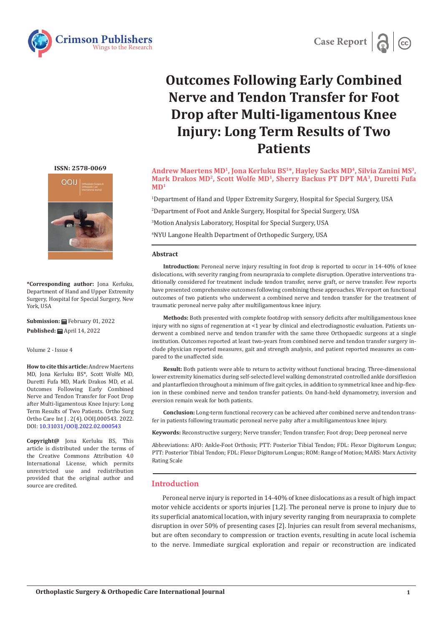



# **Outcomes Following Early Combined Nerve and Tendon Transfer for Foot Drop after Multi-ligamentous Knee Injury: Long Term Results of Two Patients**

## Andrew Maertens MD<sup>1</sup>, Jona Kerluku BS<sup>1\*</sup>, Hayley Sacks MD<sup>4</sup>, Silvia Zanini MS<sup>3</sup>, **Mark Drakos MD2, Scott Wolfe MD1, Sherry Backus PT DPT MA3, Duretti Fufa MD1**

1 Department of Hand and Upper Extremity Surgery, Hospital for Special Surgery, USA

2 Department of Foot and Ankle Surgery, Hospital for Special Surgery, USA

3 Motion Analysis Laboratory, Hospital for Special Surgery, USA

4 NYU Langone Health Department of Orthopedic Surgery, USA

# **Abstract**

**Introduction:** Peroneal nerve injury resulting in foot drop is reported to occur in 14-40% of knee dislocations, with severity ranging from neurapraxia to complete disruption. Operative interventions traditionally considered for treatment include tendon transfer, nerve graft, or nerve transfer. Few reports have presented comprehensive outcomes following combining these approaches. We report on functional outcomes of two patients who underwent a combined nerve and tendon transfer for the treatment of traumatic peroneal nerve palsy after multiligamentous knee injury.

**Methods:** Both presented with complete footdrop with sensory deficits after multiligamentous knee injury with no signs of regeneration at <1 year by clinical and electrodiagnostic evaluation. Patients underwent a combined nerve and tendon transfer with the same three Orthopaedic surgeons at a single institution. Outcomes reported at least two-years from combined nerve and tendon transfer surgery include physician reported measures, gait and strength analysis, and patient reported measures as compared to the unaffected side.

**Result:** Both patients were able to return to activity without functional bracing. Three-dimensional lower extremity kinematics during self-selected level walking demonstrated controlled ankle dorsiflexion and plantarflexion throughout a minimum of five gait cycles, in addition to symmetrical knee and hip-flexion in these combined nerve and tendon transfer patients. On hand-held dynamometry, inversion and eversion remain weak for both patients.

**Conclusion:** Long-term functional recovery can be achieved after combined nerve and tendon transfer in patients following traumatic peroneal nerve palsy after a multiligamentous knee injury.

**Keywords:** Reconstructive surgery; Nerve transfer; Tendon transfer; Foot drop; Deep peroneal nerve

Abbreviations: AFO: Ankle-Foot Orthosis; PTT: Posterior Tibial Tendon; FDL: Flexor Digitorum Longus; PTT: Posterior Tibial Tendon; FDL: Flexor Digitorum Longus; ROM: Range of Motion; MARS: Marx Activity Rating Scale

# **Introduction**

Peroneal nerve injury is reported in 14-40% of knee dislocations as a result of high impact motor vehicle accidents or sports injuries [1,2]. The peroneal nerve is prone to injury due to its superficial anatomical location, with injury severity ranging from neurapraxia to complete disruption in over 50% of presenting cases [2]. Injuries can result from several mechanisms, but are often secondary to compression or traction events, resulting in acute local ischemia to the nerve. Immediate surgical exploration and repair or reconstruction are indicated

**ISSN: 2578-0069**



**\*Corresponding author:** Jona Kerluku, Department of Hand and Upper Extremity Surgery, Hospital for Special Surgery, New York, USA

**Submission:** February 01, 2022 **Published:** April 14, 2022

Volume 2 - Issue 4

**How to cite this article:** Andrew Maertens MD, Jona Kerluku BS\*, Scott Wolfe MD, Duretti Fufa MD, Mark Drakos MD, et al. Outcomes Following Early Combined Nerve and Tendon Transfer for Foot Drop after Multi-ligamentous Knee Injury: Long Term Results of Two Patients. Ortho Surg Ortho Care Int J . 2(4). OOIJ.000543. 2022. DOI: [10.31031/OOIJ.2022.02.000543](http://dx.doi.org/10.31031/ooij.2022.02.000543)

**Copyright@** Jona Kerluku BS, This article is distributed under the terms of the Creative Commons Attribution 4.0 International License, which permits unrestricted use and redistribution provided that the original author and source are credited.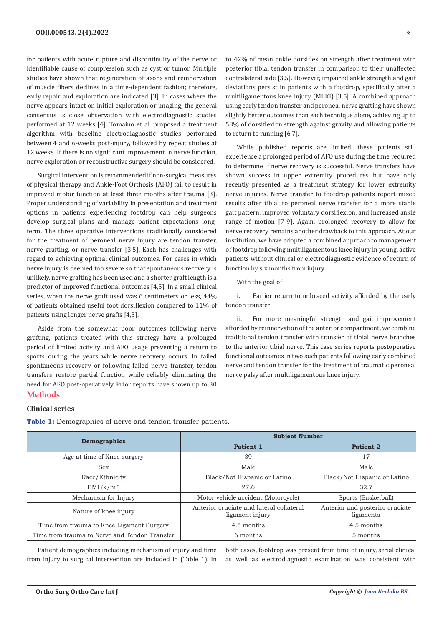for patients with acute rupture and discontinuity of the nerve or identifiable cause of compression such as cyst or tumor. Multiple studies have shown that regeneration of axons and reinnervation of muscle fibers declines in a time-dependent fashion; therefore, early repair and exploration are indicated [3]. In cases where the nerve appears intact on initial exploration or imaging, the general consensus is close observation with electrodiagnostic studies performed at 12 weeks [4]. Tomaino et al. proposed a treatment algorithm with baseline electrodiagnostic studies performed between 4 and 6-weeks post-injury, followed by repeat studies at 12 weeks. If there is no significant improvement in nerve function, nerve exploration or reconstructive surgery should be considered.

Surgical intervention is recommended if non-surgical measures of physical therapy and Ankle-Foot Orthosis (AFO) fail to result in improved motor function at least three months after trauma [3]. Proper understanding of variability in presentation and treatment options in patients experiencing footdrop can help surgeons develop surgical plans and manage patient expectations longterm. The three operative interventions traditionally considered for the treatment of peroneal nerve injury are tendon transfer, nerve grafting, or nerve transfer [3,5]. Each has challenges with regard to achieving optimal clinical outcomes. For cases in which nerve injury is deemed too severe so that spontaneous recovery is unlikely, nerve grafting has been used and a shorter graft length is a predictor of improved functional outcomes [4,5]. In a small clinical series, when the nerve graft used was 6 centimeters or less, 44% of patients obtained useful foot dorsiflexion compared to 11% of patients using longer nerve grafts [4,5].

Aside from the somewhat poor outcomes following nerve grafting, patients treated with this strategy have a prolonged period of limited activity and AFO usage preventing a return to sports during the years while nerve recovery occurs. In failed spontaneous recovery or following failed nerve transfer, tendon transfers restore partial function while reliably eliminating the need for AFO post-operatively. Prior reports have shown up to 30 **Methods**

to 42% of mean ankle dorsiflexion strength after treatment with posterior tibial tendon transfer in comparison to their unaffected contralateral side [3,5]. However, impaired ankle strength and gait deviations persist in patients with a footdrop, specifically after a multiligamentous knee injury (MLKI) [3,5]. A combined approach using early tendon transfer and peroneal nerve grafting have shown slightly better outcomes than each technique alone, achieving up to 58% of dorsiflexion strength against gravity and allowing patients to return to running [6,7].

While published reports are limited, these patients still experience a prolonged period of AFO use during the time required to determine if nerve recovery is successful. Nerve transfers have shown success in upper extremity procedures but have only recently presented as a treatment strategy for lower extremity nerve injuries. Nerve transfer to footdrop patients report mixed results after tibial to peroneal nerve transfer for a more stable gait pattern, improved voluntary dorsiflexion, and increased ankle range of motion [7-9]. Again, prolonged recovery to allow for nerve recovery remains another drawback to this approach. At our institution, we have adopted a combined approach to management of footdrop following multiligamentous knee injury in young, active patients without clinical or electrodiagnostic evidence of return of function by six months from injury.

With the goal of

i. Earlier return to unbraced activity afforded by the early tendon transfer

ii. For more meaningful strength and gait improvement afforded by reinnervation of the anterior compartment, we combine traditional tendon transfer with transfer of tibial nerve branches to the anterior tibial nerve. This case series reports postoperative functional outcomes in two such patients following early combined nerve and tendon transfer for the treatment of traumatic peroneal nerve palsy after multiligamentous knee injury.

# **Clinical series**

**Table 1:** Demographics of nerve and tendon transfer patients.

|                                               | <b>Subject Number</b>                                       |                                              |  |
|-----------------------------------------------|-------------------------------------------------------------|----------------------------------------------|--|
| Demographics                                  | Patient 1                                                   | <b>Patient 2</b>                             |  |
| Age at time of Knee surgery                   | 39                                                          | 17                                           |  |
| <b>Sex</b>                                    | Male                                                        | Male                                         |  |
| Race/Ethnicity                                | Black/Not Hispanic or Latino                                | Black/Not Hispanic or Latino                 |  |
| BMI $(k/m^2)$                                 | 27.6                                                        | 32.7                                         |  |
| Mechanism for Injury                          | Motor vehicle accident (Motorcycle)                         | Sports (Basketball)                          |  |
| Nature of knee injury                         | Anterior cruciate and lateral collateral<br>ligament injury | Anterior and posterior cruciate<br>ligaments |  |
| Time from trauma to Knee Ligament Surgery     | 4.5 months                                                  | 4.5 months                                   |  |
| Time from trauma to Nerve and Tendon Transfer | 6 months                                                    | 5 months                                     |  |

Patient demographics including mechanism of injury and time from injury to surgical intervention are included in (Table 1). In

both cases, footdrop was present from time of injury, serial clinical as well as electrodiagnostic examination was consistent with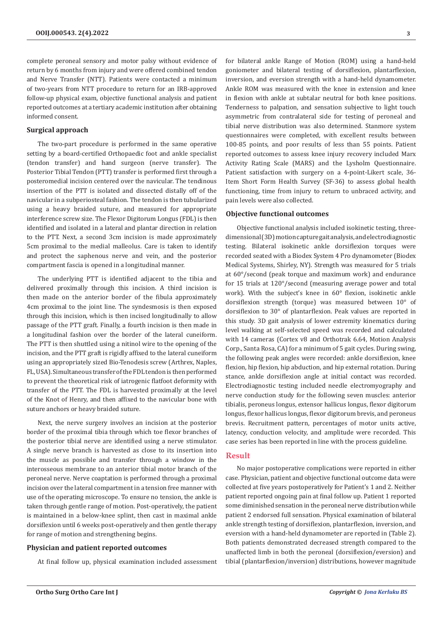complete peroneal sensory and motor palsy without evidence of return by 6 months from injury and were offered combined tendon and Nerve Transfer (NTT). Patients were contacted a minimum of two-years from NTT procedure to return for an IRB-approved follow-up physical exam, objective functional analysis and patient reported outcomes at a tertiary academic institution after obtaining informed consent.

# **Surgical approach**

The two-part procedure is performed in the same operative setting by a board-certified Orthopaedic foot and ankle specialist (tendon transfer) and hand surgeon (nerve transfer). The Posterior Tibial Tendon (PTT) transfer is performed first through a posteromedial incision centered over the navicular. The tendinous insertion of the PTT is isolated and dissected distally off of the navicular in a subperiosteal fashion. The tendon is then tubularized using a heavy braided suture, and measured for appropriate interference screw size. The Flexor Digitorum Longus (FDL) is then identified and isolated in a lateral and plantar direction in relation to the PTT. Next, a second 3cm incision is made approximately 5cm proximal to the medial malleolus. Care is taken to identify and protect the saphenous nerve and vein, and the posterior compartment fascia is opened in a longitudinal manner.

The underlying PTT is identified adjacent to the tibia and delivered proximally through this incision. A third incision is then made on the anterior border of the fibula approximately 4cm proximal to the joint line. The syndesmosis is then exposed through this incision, which is then incised longitudinally to allow passage of the PTT graft. Finally, a fourth incision is then made in a longitudinal fashion over the border of the lateral cuneiform. The PTT is then shuttled using a nitinol wire to the opening of the incision, and the PTT graft is rigidly affixed to the lateral cuneiform using an appropriately sized Bio-Tenodesis screw (Arthrex, Naples, FL, USA). Simultaneous transfer of the FDL tendon is then performed to prevent the theoretical risk of iatrogenic flatfoot deformity with transfer of the PTT. The FDL is harvested proximally at the level of the Knot of Henry, and then affixed to the navicular bone with suture anchors or heavy braided suture.

Next, the nerve surgery involves an incision at the posterior border of the proximal tibia through which toe flexor branches of the posterior tibial nerve are identified using a nerve stimulator. A single nerve branch is harvested as close to its insertion into the muscle as possible and transfer through a window in the interosseous membrane to an anterior tibial motor branch of the peroneal nerve. Nerve coaptation is performed through a proximal incision over the lateral compartment in a tension free manner with use of the operating microscope. To ensure no tension, the ankle is taken through gentle range of motion. Post-operatively, the patient is maintained in a below-knee splint, then cast in maximal ankle dorsiflexion until 6 weeks post-operatively and then gentle therapy for range of motion and strengthening begins.

# **Physician and patient reported outcomes**

At final follow up, physical examination included assessment

for bilateral ankle Range of Motion (ROM) using a hand-held goniometer and bilateral testing of dorsiflexion, plantarflexion, inversion, and eversion strength with a hand-held dynamometer. Ankle ROM was measured with the knee in extension and knee in flexion with ankle at subtalar neutral for both knee positions. Tenderness to palpation, and sensation subjective to light touch asymmetric from contralateral side for testing of peroneal and tibial nerve distribution was also determined. Stanmore system questionnaires were completed, with excellent results between 100-85 points, and poor results of less than 55 points. Patient reported outcomes to assess knee injury recovery included Marx Activity Rating Scale (MARS) and the Lysholm Questionnaire. Patient satisfaction with surgery on a 4-point-Likert scale, 36- Item Short Form Health Survey (SF-36) to assess global health functioning, time from injury to return to unbraced activity, and pain levels were also collected.

#### **Objective functional outcomes**

Objective functional analysis included isokinetic testing, threedimensional (3D) motion capture gait analysis, and electrodiagnostic testing. Bilateral isokinetic ankle dorsiflexion torques were recorded seated with a Biodex System 4 Pro dynamometer (Biodex Medical Systems, Shirley, NY). Strength was measured for 5 trials at 60°/second (peak torque and maximum work) and endurance for 15 trials at 120°/second (measuring average power and total work). With the subject's knee in 60° flexion, isokinetic ankle dorsiflexion strength (torque) was measured between 10° of dorsiflexion to 30° of plantarflexion. Peak values are reported in this study. 3D gait analysis of lower extremity kinematics during level walking at self-selected speed was recorded and calculated with 14 cameras (Cortex v8 and Orthotrak 6.64, Motion Analysis Corp., Santa Rosa, CA) for a minimum of 5 gait cycles. During swing, the following peak angles were recorded: ankle dorsiflexion, knee flexion, hip flexion, hip abduction, and hip external rotation. During stance, ankle dorsiflexion angle at initial contact was recorded. Electrodiagnostic testing included needle electromyography and nerve conduction study for the following seven muscles: anterior tibialis, peroneus longus, extensor hallicus longus, flexor digitorum longus, flexor hallicus longus, flexor digitorum brevis, and peroneus brevis. Recruitment pattern, percentages of motor units active, latency, conduction velocity, and amplitude were recorded. This case series has been reported in line with the process guideline.

# **Result**

No major postoperative complications were reported in either case. Physician, patient and objective functional outcome data were collected at five years postoperatively for Patient's 1 and 2. Neither patient reported ongoing pain at final follow up. Patient 1 reported some diminished sensation in the peroneal nerve distribution while patient 2 endorsed full sensation. Physical examination of bilateral ankle strength testing of dorsiflexion, plantarflexion, inversion, and eversion with a hand-held dynamometer are reported in (Table 2). Both patients demonstrated decreased strength compared to the unaffected limb in both the peroneal (dorsiflexion/eversion) and tibial (plantarflexion/inversion) distributions, however magnitude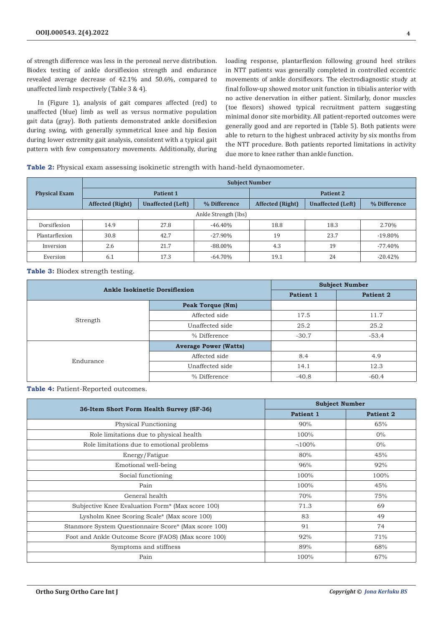of strength difference was less in the peroneal nerve distribution. Biodex testing of ankle dorsiflexion strength and endurance revealed average decrease of 42.1% and 50.6%, compared to unaffected limb respectively (Table 3 & 4).

In (Figure 1), analysis of gait compares affected (red) to unaffected (blue) limb as well as versus normative population gait data (gray). Both patients demonstrated ankle dorsiflexion during swing, with generally symmetrical knee and hip flexion during lower extremity gait analysis, consistent with a typical gait pattern with few compensatory movements. Additionally, during loading response, plantarflexion following ground heel strikes in NTT patients was generally completed in controlled eccentric movements of ankle dorsiflexors. The electrodiagnostic study at final follow-up showed motor unit function in tibialis anterior with no active denervation in either patient. Similarly, donor muscles (toe flexors) showed typical recruitment pattern suggesting minimal donor site morbidity. All patient-reported outcomes were generally good and are reported in (Table 5). Both patients were able to return to the highest unbraced activity by six months from the NTT procedure. Both patients reported limitations in activity due more to knee rather than ankle function.

**Table 2:** Physical exam assessing isokinetic strength with hand-held dynaomometer.

|                      | <b>Subject Number</b>   |                          |              |                         |                          |              |
|----------------------|-------------------------|--------------------------|--------------|-------------------------|--------------------------|--------------|
| <b>Physical Exam</b> |                         | <b>Patient 1</b>         |              |                         | <b>Patient 2</b>         |              |
|                      | <b>Affected</b> (Right) | <b>Unaffected (Left)</b> | % Difference | <b>Affected (Right)</b> | <b>Unaffected (Left)</b> | % Difference |
| Ankle Strength (lbs) |                         |                          |              |                         |                          |              |
| Dorsiflexion         | 14.9                    | 27.8                     | $-46.40%$    | 18.8                    | 18.3                     | 2.70%        |
| Plantarflexion       | 30.8                    | 42.7                     | $-27.90\%$   | 19                      | 23.7                     | $-19.80\%$   |
| Inversion            | 2.6                     | 21.7                     | $-88.00\%$   | 4.3                     | 19                       | $-77.40\%$   |
| Eversion             | 6.1                     | 17.3                     | $-64.70%$    | 19.1                    | 24                       | $-20.42%$    |

**Table 3:** Biodex strength testing.

| <b>Ankle Isokinetic Dorsiflexion</b> |                              | <b>Subject Number</b> |           |  |
|--------------------------------------|------------------------------|-----------------------|-----------|--|
|                                      |                              | Patient 1             | Patient 2 |  |
| Strength                             | <b>Peak Torque (Nm)</b>      |                       |           |  |
|                                      | Affected side                | 17.5                  | 11.7      |  |
|                                      | Unaffected side              | 25.2                  | 25.2      |  |
|                                      | % Difference                 | $-30.7$               | $-53.4$   |  |
|                                      | <b>Average Power (Watts)</b> |                       |           |  |
| Endurance                            | Affected side                | 8.4                   | 4.9       |  |
|                                      | Unaffected side              | 14.1                  | 12.3      |  |
|                                      | % Difference                 | $-40.8$               | $-60.4$   |  |

**Table 4:** Patient-Reported outcomes.

|                                                      | <b>Subject Number</b> |                  |  |
|------------------------------------------------------|-----------------------|------------------|--|
| 36-Item Short Form Health Survey (SF-36)             | Patient 1             | <b>Patient 2</b> |  |
| Physical Functioning                                 | 90%                   | 65%              |  |
| Role limitations due to physical health              | 100%                  | $0\%$            |  |
| Role limitations due to emotional problems           | $\neg 100\%$          | $0\%$            |  |
| Energy/Fatigue                                       | 80%                   | 45%              |  |
| Emotional well-being                                 | 96%                   | 92%              |  |
| Social functioning                                   | 100%                  | 100%             |  |
| Pain                                                 | 100%                  | 45%              |  |
| General health                                       | 70%                   | 75%              |  |
| Subjective Knee Evaluation Form* (Max score 100)     | 71.3                  | 69               |  |
| Lysholm Knee Scoring Scale* (Max score 100)          | 83                    | 49               |  |
| Stanmore System Questionnaire Score* (Max score 100) | 91                    | 74               |  |
| Foot and Ankle Outcome Score (FAOS) (Max score 100)  | 92%                   | 71%              |  |
| Symptoms and stiffness                               | 89%                   | 68%              |  |
| Pain                                                 | 100%                  | 67%              |  |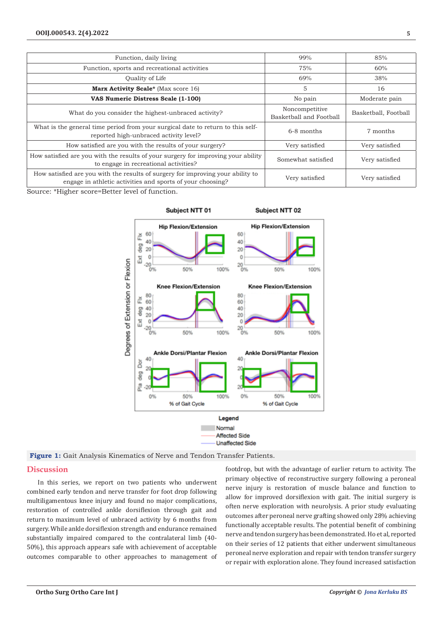| 99%                                       | 85%                  |
|-------------------------------------------|----------------------|
| 75%                                       | 60%                  |
| 69%                                       | 38%                  |
| 5                                         | 16                   |
| No pain                                   | Moderate pain        |
| Noncompetitive<br>Basketball and Football | Basketball, Football |
| 6-8 months                                | 7 months             |
| Very satisfied                            | Very satisfied       |
| Somewhat satisfied                        | Very satisfied       |
| Very satisfied                            | Very satisfied       |
|                                           |                      |

Source: \*Higher score=Better level of function.





# **Discussion**

In this series, we report on two patients who underwent combined early tendon and nerve transfer for foot drop following multiligamentous knee injury and found no major complications, restoration of controlled ankle dorsiflexion through gait and return to maximum level of unbraced activity by 6 months from surgery. While ankle dorsiflexion strength and endurance remained substantially impaired compared to the contralateral limb (40- 50%), this approach appears safe with achievement of acceptable outcomes comparable to other approaches to management of footdrop, but with the advantage of earlier return to activity. The primary objective of reconstructive surgery following a peroneal nerve injury is restoration of muscle balance and function to allow for improved dorsiflexion with gait. The initial surgery is often nerve exploration with neurolysis. A prior study evaluating outcomes after peroneal nerve grafting showed only 28% achieving functionally acceptable results. The potential benefit of combining nerve and tendon surgery has been demonstrated. Ho et al, reported on their series of 12 patients that either underwent simultaneous peroneal nerve exploration and repair with tendon transfer surgery or repair with exploration alone. They found increased satisfaction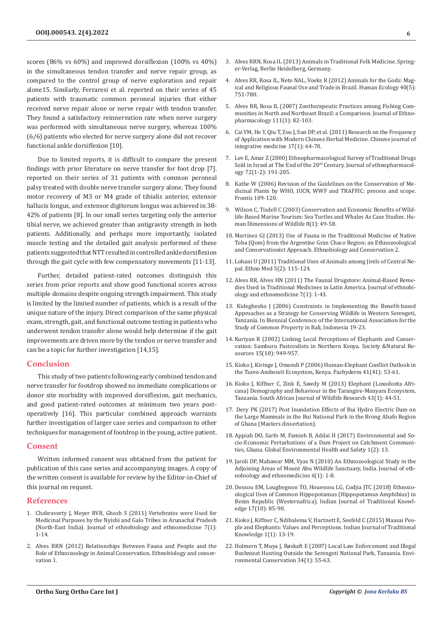scores (86% vs 60%) and improved dorsiflexion (100% vs 40%) in the simultaneous tendon transfer and nerve repair group, as compared to the control group of nerve exploration and repair alone15. Similarly, Ferraresi et al. reported on their series of 45 patients with traumatic common peroneal injuries that either received nerve repair alone or nerve repair with tendon transfer. They found a satisfactory reinnervation rate when nerve surgery was performed with simultaneous nerve surgery, whereas 100% (6/6) patients who elected for nerve surgery alone did not recover functional ankle dorsiflexion [10].

Due to limited reports, it is difficult to compare the present findings with prior literature on nerve transfer for foot drop [7]. reported on their series of 31 patients with common peroneal palsy treated with double nerve transfer surgery alone. They found motor recovery of M3 or M4 grade of tibialis anterior, extensor hallucis longus, and extensor digitorum longus was achieved in 38- 42% of patients [8]. In our small series targeting only the anterior tibial nerve, we achieved greater than antigravity strength in both patients. Additionally, and perhaps more importantly, isolated muscle testing and the detailed gait analysis performed of these patients suggested that NTT resulted in controlled ankle dorsiflexion through the gait cycle with few compensatory movements [11-13].

Further, detailed patient-rated outcomes distinguish this series from prior reports and show good functional scores across multiple domains despite ongoing strength impairment. This study is limited by the limited number of patients, which is a result of the unique nature of the injury. Direct comparison of the same physical exam, strength, gait, and functional outcome testing in patients who underwent tendon transfer alone would help determine if the gait improvements are driven more by the tendon or nerve transfer and can be a topic for further investigation [14,15].

# **Conclusion**

This study of two patients following early combined tendon and nerve transfer for footdrop showed no immediate complications or donor site morbidity with improved dorsiflexion, gait mechanics, and good patient-rated outcomes at minimum two years postoperatively [16]. This particular combined approach warrants further investigation of larger case series and comparison to other techniques for management of footdrop in the young, active patient.

#### **Consent**

Written informed consent was obtained from the patient for publication of this case series and accompanying images. A copy of the written consent is available for review by the Editor-in-Chief of this journal on request.

#### **References**

- 1. [Chakravorty J, Meyer RVB, Ghosh S \(2011\) Vertebrates were Used for](https://ethnobiomed.biomedcentral.com/articles/10.1186/1746-4269-7-13)  [Medicinal Purposes by the Nyishi and Galo Tribes in Arunachal Pradesh](https://ethnobiomed.biomedcentral.com/articles/10.1186/1746-4269-7-13)  [\(North-East India\). Journal of ethnobiology and ethnomedicine 7\(1\):](https://ethnobiomed.biomedcentral.com/articles/10.1186/1746-4269-7-13)  [1-14.](https://ethnobiomed.biomedcentral.com/articles/10.1186/1746-4269-7-13)
- 2. [Alves RRN \(2012\) Relationships Between Fauna and People and the](https://ethnobioconservation.com/index.php/ebc/article/view/20)  [Role of Ethnozoology in Animal Conservation. Ethnobiology](https://ethnobioconservation.com/index.php/ebc/article/view/20) and conser[vation 1.](https://ethnobioconservation.com/index.php/ebc/article/view/20)
- 3. [Alves RRN, Rosa IL \(2013\) Animals in Traditional Folk Medicine. Spring](https://link.springer.com/book/10.1007/978-3-642-29026-8)[er-Verlag, Berlin Heidelberg, Germany](https://link.springer.com/book/10.1007/978-3-642-29026-8)*.*
- 4. [Alves RR, Rosa IL, Neto NAL, Voeks R \(2012\) Animals for the Gods: Mag](https://link.springer.com/article/10.1007/s10745-012-9516-1)[ical and Religious Faunal Use and Trade in Brazil. Human Ecology 40\(5\):](https://link.springer.com/article/10.1007/s10745-012-9516-1) [751-780.](https://link.springer.com/article/10.1007/s10745-012-9516-1)
- 5. [Alves RR, Rosa IL \(2007\) Zootherapeutic Practices among Fishing Com](https://www.sciencedirect.com/science/article/abs/pii/S0378874106005782?via%3Dihub)[munities in North and Northeast Brazil: a Comparison. Journal of Ethno](https://www.sciencedirect.com/science/article/abs/pii/S0378874106005782?via%3Dihub)[pharmacology 111\(1\): 82-103.](https://www.sciencedirect.com/science/article/abs/pii/S0378874106005782?via%3Dihub)
- 6. [Cai YM, He Y, Qiu T, Zou J, Sun DP, et al. \(2011\) Research on the Frequency](https://pubmed.ncbi.nlm.nih.gov/21258899/) [of Application with Modern Chinese Herbal Medicine. Chinese journal of](https://pubmed.ncbi.nlm.nih.gov/21258899/) [integrative medicine 17\(1\): 64-70.](https://pubmed.ncbi.nlm.nih.gov/21258899/)
- 7. [Lev E, Amar Z \(2000\) Ethnopharmacological Survey of Traditional Drugs](https://www.sciencedirect.com/science/article/abs/pii/S0378874100002300?via%3Dihub) Sold in Israel at The End of the 20<sup>th</sup> Century. Journal of ethnopharmacol[ogy 72\(1-2\): 191-205.](https://www.sciencedirect.com/science/article/abs/pii/S0378874100002300?via%3Dihub)
- 8. [Kathe W \(2006\) Revision of the Guidelines on the Conservation of Me](https://edepot.wur.nl/137167)[dicinal Plants by WHO, IUCN, WWF and TRAFFIC: process and scope.](https://edepot.wur.nl/137167) [Frontis 109-120.](https://edepot.wur.nl/137167)
- 9. [Wilson C, Tisdell C \(2003\) Conservation and Economic Benefits of Wild](https://www.tandfonline.com/doi/abs/10.1080/10871200390180145)[life-Based Marine Tourism: Sea Turtles and Whales As Case Studies. Hu](https://www.tandfonline.com/doi/abs/10.1080/10871200390180145)[man Dimensions of Wildlife 8\(1\): 49-58.](https://www.tandfonline.com/doi/abs/10.1080/10871200390180145)
- 10. Martí[nez GJ \(2013\) Use of Fauna in the Traditional Medicine of Native](https://ethnobioconservation.com/index.php/ebc/article/view/34) [Toba \(Qom\) from the Argentine Gran Chaco Region: an Ethnozoological](https://ethnobioconservation.com/index.php/ebc/article/view/34) [and Conservationist Approach. Ethnobiology and Conservation 2.](https://ethnobioconservation.com/index.php/ebc/article/view/34)
- 11. [Lohani U \(2011\) Traditional Uses of Animals among Jirels of Central Ne](https://www.tandfonline.com/doi/abs/10.1080/09735070.2011.11886398)[pal. Ethno Med 5\(2\): 115-124.](https://www.tandfonline.com/doi/abs/10.1080/09735070.2011.11886398)
- 12. [Alves RR, Alves HN \(2011\) The Faunal Drugstore: Animal-Based Reme](https://link.springer.com/article/10.1186/1746-4269-7-9)[dies Used in Traditional Medicines in Latin America. Journal of ethnobi](https://link.springer.com/article/10.1186/1746-4269-7-9)[ology and ethnomedicine 7\(1\): 1-43.](https://link.springer.com/article/10.1186/1746-4269-7-9)
- 13. [Kideghesho J \(2006\) Constraints in Implementing the Benefit-based](http://hdl.handle.net/10535/1571) [Approaches as a Strategy for Conserving Wildlife in Western Serengeti,](http://hdl.handle.net/10535/1571) [Tanzania. In Biennial Conference of the International Association for the](http://hdl.handle.net/10535/1571) [Study of Common Property in Bali, Indonesia 19-23.](http://hdl.handle.net/10535/1571)
- 14. [Kuriyan R \(2002\) Linking Local Perceptions of Elephants and Conser](https://doi.org/10.1080/08941920290107675)[vation: Samburu Pastoralists in Northern Kenya. Society &Natural Re](https://doi.org/10.1080/08941920290107675)[sources 15\(10\): 949-957.](https://doi.org/10.1080/08941920290107675)
- 15. [Kioko J, Kiringe J, Omondi P \(2006\) Human-Elephant Conflict Outlook in](https://www.africabib.org/rec.php?RID=Q00046821) [the Tsavo-Amboseli Ecosystem, Kenya. Pachyderm 41\(41\): 53-61.](https://www.africabib.org/rec.php?RID=Q00046821)
- 16. [Kioko J, Kiffner C, Zink E, Sawdy M \(2013\) Elephant \(Loxodonta Afri](https://bioone.org/journals/african-journal-of-wildlife-research/volume-43/issue-1/056.043.0109)[cana\) Demography and Behaviour in the Tarangire-Manyara Ecosystem,](https://bioone.org/journals/african-journal-of-wildlife-research/volume-43/issue-1/056.043.0109) [Tanzania. South African Journal of Wildlife Research 43\(1\): 44-51.](https://bioone.org/journals/african-journal-of-wildlife-research/volume-43/issue-1/056.043.0109)
- 17. Dery PK (2017) Post Inundation Effects of Bui Hydro Electric Dam on the Large Mammals in the Bui National Park in the Brong Ahafo Region of Ghana (Masters dissertation).
- 18. [Appiah DO, Sarfo M, Famieh B, Addai H \(2017\) Environmental and So](https://www.imedpub.com/articles/environmental-and-socioeconomic-perturbations-of-a-dam-project-on-catchment-communities-ghana.pdf)[cio-Economic Perturbations of a Dam Project on Catchment Communi](https://www.imedpub.com/articles/environmental-and-socioeconomic-perturbations-of-a-dam-project-on-catchment-communities-ghana.pdf)[ties, Ghana. Global Environmental Health and Safety 1\(2\): 13.](https://www.imedpub.com/articles/environmental-and-socioeconomic-perturbations-of-a-dam-project-on-catchment-communities-ghana.pdf)
- 19. [Jaroli DP, Mahawar MM, Vyas N \(2010\) An Ethnozoological Study in the](https://ethnobiomed.biomedcentral.com/articles/10.1186/1746-4269-6-6) [Adjoining Areas of Mount Abu Wildlife Sanctuary, India. Journal of eth](https://ethnobiomed.biomedcentral.com/articles/10.1186/1746-4269-6-6)[nobiology and ethnomedicine](https://ethnobiomed.biomedcentral.com/articles/10.1186/1746-4269-6-6) *6*(1): 1-8.
- 20. [Dossou EM, Lougbegnon TO, Houessou LG, Codjia JTC \(2018\) Ethnozo](http://nopr.niscair.res.in/bitstream/123456789/43146/1/IJTK%2017(1)%2085-90.pdf)[ological Uses of Common Hippopotamus \(Hippopotamus Amphibius\) in](http://nopr.niscair.res.in/bitstream/123456789/43146/1/IJTK%2017(1)%2085-90.pdf) [Benin Republic \(Westernafrica\). Indian Journal of Traditional Knowl](http://nopr.niscair.res.in/bitstream/123456789/43146/1/IJTK%2017(1)%2085-90.pdf)[edge 17\(10\): 85-90.](http://nopr.niscair.res.in/bitstream/123456789/43146/1/IJTK%2017(1)%2085-90.pdf)
- 21. [Kioko J, Kiffner C, Ndibalema V, Hartnett E, Seefeld C \(2015\) Maasai Peo](http://nopr.niscair.res.in/bitstream/123456789/32020/1/IJTK%201%281%29%2013-19.pdf)[ple and Elephants: Values and Perceptions](http://nopr.niscair.res.in/bitstream/123456789/32020/1/IJTK%201%281%29%2013-19.pdf)*.* Indian Journal of Traditional [Knowledge 1\(1\): 13-19.](http://nopr.niscair.res.in/bitstream/123456789/32020/1/IJTK%201%281%29%2013-19.pdf)
- 22. [Holmern T, Muya J, Røskaft E \(2007\) Local Law Enforcement and Illegal](https://www.cambridge.org/core/journals/environmental-conservation) [Bushmeat Hunting Outside the Serengeti National Park, Tanzania. Envi](https://www.cambridge.org/core/journals/environmental-conservation)[ronmental Conservation 34\(1\): 55-63.](https://www.cambridge.org/core/journals/environmental-conservation)